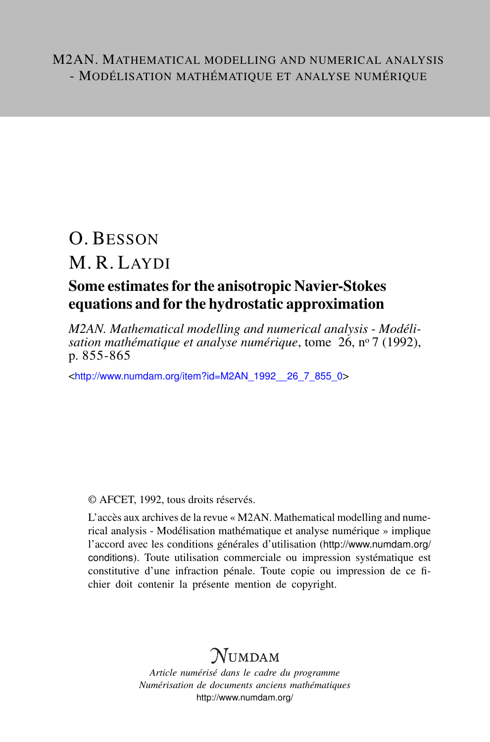# O. BESSON M. R. LAYDI

# Some estimates for the anisotropic Navier-Stokes equations and for the hydrostatic approximation

*M2AN. Mathematical modelling and numerical analysis - Modélisation mathématique et analyse numérique*, tome 26, nº 7 (1992), p. 855-865

<[http://www.numdam.org/item?id=M2AN\\_1992\\_\\_26\\_7\\_855\\_0](http://www.numdam.org/item?id=M2AN_1992__26_7_855_0)>

© AFCET, 1992, tous droits réservés.

L'accès aux archives de la revue « M2AN. Mathematical modelling and numerical analysis - Modélisation mathématique et analyse numérique » implique l'accord avec les conditions générales d'utilisation ([http://www.numdam.org/](http://www.numdam.org/conditions) [conditions](http://www.numdam.org/conditions)). Toute utilisation commerciale ou impression systématique est constitutive d'une infraction pénale. Toute copie ou impression de ce fichier doit contenir la présente mention de copyright.

# $\mathcal{N}$ umdam

*Article numérisé dans le cadre du programme Numérisation de documents anciens mathématiques* <http://www.numdam.org/>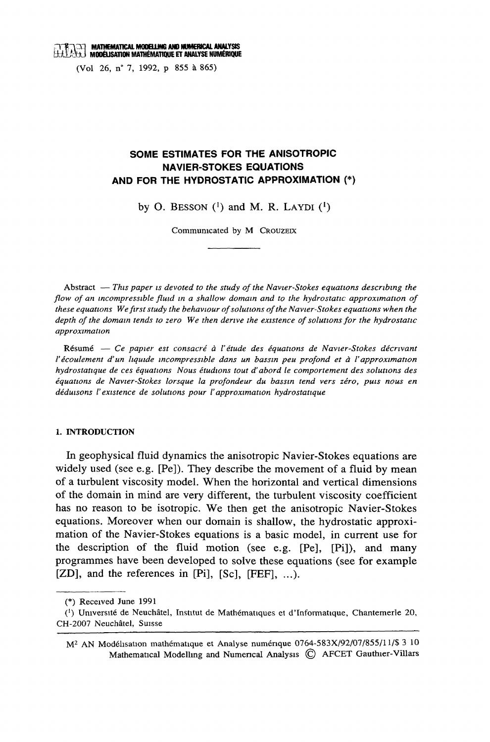**TELE MATHEMATICAL MODELLING AND NUMERICAL ANALYSIS** MODÉLISATION MATHÉMATIQUE ET ANALYSE NUMÉRIQUE

(Vol. 26, n° 7, 1992, p 855 à 865)

# SOME ESTIMATES FOR THE ANISOTROPIC **NAVIER-STOKES EQUATIONS** AND FOR THE HYDROSTATIC APPROXIMATION (\*)

by O. BESSON  $(1)$  and M. R. LAYDI  $(1)$ 

Communicated by M CROUZEIX

Abstract  $-$  This paper is devoted to the study of the Navier-Stokes equations describing the flow of an incompressible fluid in a shallow domain and to the hydrostatic approximation of these equations We first study the behaviour of solutions of the Navier-Stokes equations when the depth of the domain tends to zero We then derive the existence of solutions for the hydrostatic approximation

Résumé - Ce papier est consacré à l'étude des équations de Navier-Stokes décrivant l'écoulement d'un liquide incompressible dans un bassin peu profond et à l'approximation hydrostatique de ces équations Nous étudions tout d'abord le comportement des solutions des équations de Navier-Stokes lorsque la profondeur du bassin tend vers zéro, puis nous en déduisons l'existence de solutions pour l'approximation hydrostatique

# 1. INTRODUCTION

In geophysical fluid dynamics the anisotropic Navier-Stokes equations are widely used (see e.g. [Pe]). They describe the movement of a fluid by mean of a turbulent viscosity model. When the horizontal and vertical dimensions of the domain in mind are very different, the turbulent viscosity coefficient has no reason to be isotropic. We then get the anisotropic Navier-Stokes equations. Moreover when our domain is shallow, the hydrostatic approximation of the Navier-Stokes equations is a basic model, in current use for the description of the fluid motion (see e.g. [Pe], [Pi]), and many programmes have been developed to solve these equations (see for example  $[ZD]$ , and the references in  $[Pi]$ ,  $[Sc]$ ,  $[FEF]$ , ...).

 $(*)$  Received June 1991

<sup>(&</sup>lt;sup>1</sup>) Université de Neuchâtel, Institut de Mathématiques et d'Informatique, Chantemerle 20, CH-2007 Neuchâtel, Sursse

M<sup>2</sup> AN Modélisation mathématique et Analyse numérique 0764-583X/92/07/855/11/\$ 3 10 Mathematical Modelling and Numerical Analysis (C) AFCET Gauthier-Villars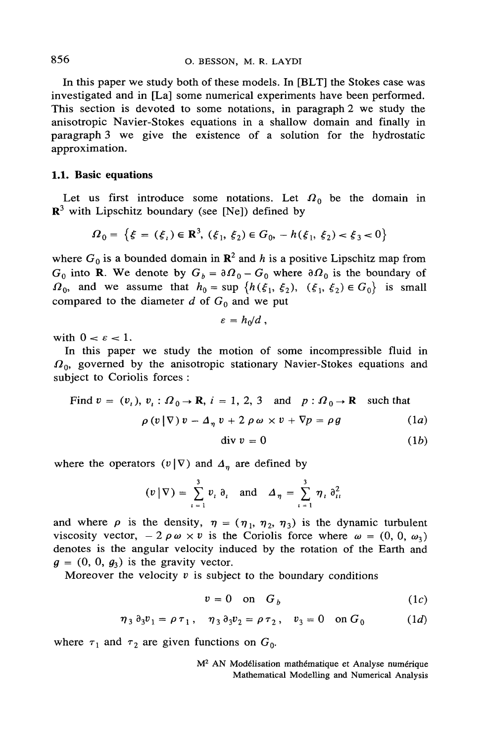In this paper we study both of these models. In [BLT] the Stokes case was investigated and in [La] some numerical experiments have been performed. This section is devoted to some notations, in paragraph 2 we study the anisotropic Navier-Stokes equations in a shallow domain and finally in paragraph 3 we give the existence of a solution for the hydrostatic approximation.

# 1.1. Basic equations

Let us first introduce some notations. Let  $\Omega_0$  be the domain in  $\mathbb{R}^3$  with Lipschitz boundary (see [Ne]) defined by

$$
\Omega_0 = \left\{ \xi = (\xi_1) \in \mathbb{R}^3, \ (\xi_1, \xi_2) \in G_0, -h(\xi_1, \xi_2) < \xi_3 < 0 \right\}
$$

where  $G_0$  is a bounded domain in  $\mathbb{R}^2$  and h is a positive Lipschitz map from  $G_0$  into **R**. We denote by  $G_b = \partial \Omega_0 - G_0$  where  $\partial \Omega_0$  is the boundary of  $\Omega_0$ , and we assume that  $h_0 = \sup \{h(\xi_1, \xi_2), (\xi_1, \xi_2) \in G_0\}$  is small compared to the diameter d of  $G_0$  and we put

$$
\varepsilon = h_0/d \; ,
$$

with  $0 < \varepsilon < 1$ .

In this paper we study the motion of some incompressible fluid in  $\Omega_0$ , governed by the anisotropic stationary Navier-Stokes equations and subject to Coriolis forces:

Find 
$$
v = (v_i)
$$
,  $v_i : \Omega_0 \to \mathbb{R}$ ,  $i = 1, 2, 3$  and  $p : \Omega_0 \to \mathbb{R}$  such that  
\n
$$
\rho(v | \nabla) v - \Delta_{\eta} v + 2 \rho \omega \times v + \nabla p = \rho g \qquad (1a)
$$
\n
$$
\text{div } v = 0 \qquad (1b)
$$

where the operators  $(v | \nabla)$  and  $\Delta_n$  are defined by

$$
(v | \nabla) = \sum_{i=1}^{3} v_i \, \partial_i \quad \text{and} \quad \Delta_{\eta} = \sum_{i=1}^{3} \eta_i \, \partial_{ii}^{2}
$$

and where  $\rho$  is the density,  $\eta = (\eta_1, \eta_2, \eta_3)$  is the dynamic turbulent viscosity vector,  $-2 \rho \omega \times v$  is the Coriolis force where  $\omega = (0, 0, \omega_3)$ denotes is the angular velocity induced by the rotation of the Earth and  $g = (0, 0, g<sub>3</sub>)$  is the gravity vector.

Moreover the velocity  $v$  is subject to the boundary conditions

$$
v = 0 \quad \text{on} \quad G_b \tag{1c}
$$

$$
\eta_3 \, \partial_3 v_1 = \rho \, \tau_1 \,, \quad \eta_3 \, \partial_3 v_2 = \rho \, \tau_2 \,, \quad v_3 = 0 \quad \text{on } G_0 \tag{1d}
$$

where  $\tau_1$  and  $\tau_2$  are given functions on  $G_0$ .

M<sup>2</sup> AN Modélisation mathématique et Analyse numérique Mathematical Modelling and Numerical Analysis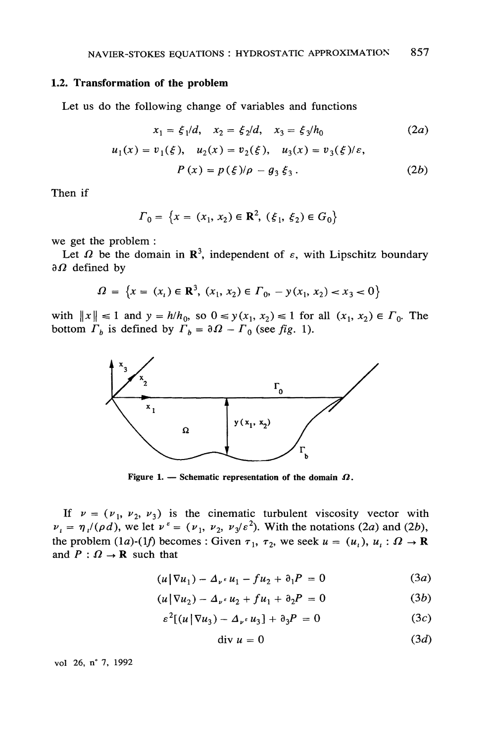### 1.2. Transformation of the problem

Let us do the following change of variables and functions

$$
x_1 = \xi_1/d, \quad x_2 = \xi_2/d, \quad x_3 = \xi_3/h_0 \tag{2a}
$$
\n
$$
u_1(x) = v_1(\xi), \quad u_2(x) = v_2(\xi), \quad u_3(x) = v_3(\xi)/\varepsilon,
$$
\n
$$
P(x) = p(\xi)/\rho - g_3 \xi_3. \tag{2b}
$$

Then if

$$
\Gamma_0 = \left\{ x = (x_1, x_2) \in \mathbf{R}^2, \ (\xi_1, \xi_2) \in G_0 \right\}
$$

we get the problem :

Let  $\Omega$  be the domain in  $\mathbb{R}^3$ , independent of  $\varepsilon$ , with Lipschitz boundary  $\partial \Omega$  defined by

$$
\Omega = \left\{ x = (x_1) \in \mathbb{R}^3, (x_1, x_2) \in \Gamma_0, -y(x_1, x_2) < x_3 < 0 \right\}
$$

with  $||x|| \le 1$  and  $y = h/h_0$ , so  $0 \le y(x_1, x_2) \le 1$  for all  $(x_1, x_2) \in \Gamma_0$ . The bottom  $\Gamma_b$  is defined by  $\Gamma_b = \partial \Omega - \Gamma_0$  (see fig. 1).



Figure 1. — Schematic representation of the domain  $\Omega$ .

If  $\nu = (\nu_1, \nu_2, \nu_3)$  is the cinematic turbulent viscosity vector with  $\nu_i = \eta_i/(\rho d)$ , we let  $\nu^{\varepsilon} = (\nu_1, \nu_2, \nu_3/\varepsilon^2)$ . With the notations (2*a*) and (2*b*), the problem (1*a*)-(1*f*) becomes : Given  $\tau_1$ ,  $\tau_2$ , we seek  $u = (u_1)$ ,  $u_1 : \Omega \to \mathbb{R}$ and  $P: \Omega \to \mathbf{R}$  such that

$$
(u|\nabla u_1) - \Delta_{\nu} \varepsilon u_1 - fu_2 + \partial_1 P = 0 \qquad (3a)
$$

$$
(u|\nabla u_2) - \Delta_{\nu^e} u_2 + fu_1 + \partial_2 P = 0 \qquad (3b)
$$

$$
\varepsilon^2 [(u | \nabla u_3) - \Delta_{\nu} \varepsilon u_3] + \partial_3 P = 0 \qquad (3c)
$$

$$
\text{div } u = 0 \tag{3d}
$$

vol 26, n° 7, 1992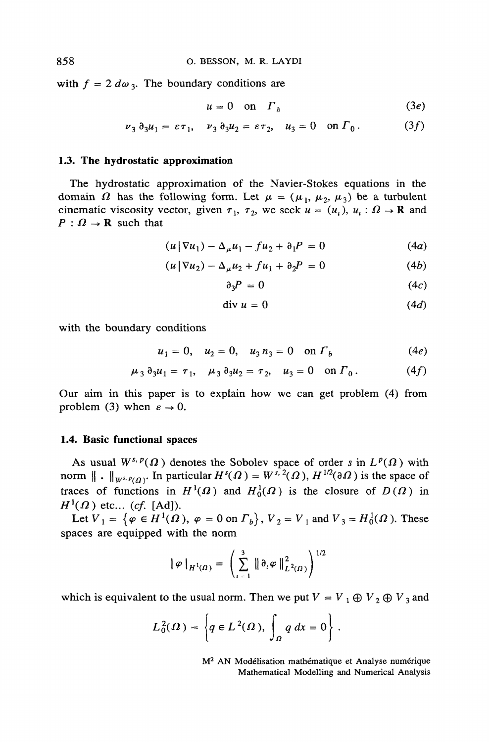with  $f = 2 d\omega_3$ . The boundary conditions are

$$
u = 0 \quad \text{on} \quad \Gamma_h \tag{3e}
$$

$$
\nu_3 \, \partial_3 u_1 = \varepsilon \, \tau_1, \quad \nu_3 \, \partial_3 u_2 = \varepsilon \, \tau_2, \quad u_3 = 0 \quad \text{on } \Gamma_0 \,.
$$
 (3f)

# 1.3. The hydrostatic approximation

The hydrostatic approximation of the Navier-Stokes equations in the domain  $\Omega$  has the following form. Let  $\mu = (\mu_1, \mu_2, \mu_3)$  be a turbulent cinematic viscosity vector, given  $\tau_1$ ,  $\tau_2$ , we seek  $u = (u_1)$ ,  $u_1 : \Omega \to \mathbb{R}$  and  $P: \Omega \rightarrow \mathbb{R}$  such that

$$
(u\,\vert\,\nabla u_1) - \Delta_\mu u_1 - f u_2 + \partial_1 P = 0 \tag{4a}
$$

$$
(u\big|\nabla u_2) - \Delta_\mu u_2 + fu_1 + \partial_2 P = 0 \tag{4b}
$$

$$
\partial_3 P = 0 \tag{4c}
$$

$$
\text{div } u = 0 \tag{4d}
$$

with the boundary conditions

$$
u_1 = 0, \quad u_2 = 0, \quad u_3 n_3 = 0 \quad \text{on } \Gamma_b \tag{4e}
$$

$$
\mu_3 \, \partial_3 u_1 = \tau_1, \quad \mu_3 \, \partial_3 u_2 = \tau_2, \quad u_3 = 0 \quad \text{on } \Gamma_0 \,.
$$
 (4f)

Our aim in this paper is to explain how we can get problem (4) from problem (3) when  $\varepsilon \to 0$ .

# 1.4. Basic functional spaces

As usual  $W^{s, p}(\Omega)$  denotes the Sobolev space of order s in  $L^p(\Omega)$  with norm  $\|\cdot\|_{W^{s,p}(Q)}$ . In particular  $H^s(\Omega) = W^{s,2}(\Omega)$ ,  $H^{1/2}(\partial\Omega)$  is the space of traces of functions in  $H^1(\Omega)$  and  $H_0^1(\Omega)$  is the closure of  $D(\Omega)$  in  $H^1(\Omega)$  etc... (cf. [Ad]).

Let  $V_1 = \{ \varphi \in H^1(\Omega), \varphi = 0 \text{ on } \Gamma_b \}, V_2 = V_1 \text{ and } V_3 = H_0^1(\Omega)$ . These spaces are equipped with the norm

$$
\|\varphi\|_{H^1(\Omega)}=\left(\sum_{i=1}^3\|\vartheta_i\varphi\|_{L^2(\Omega)}^2\right)^{1/2}
$$

which is equivalent to the usual norm. Then we put  $V = V_1 \oplus V_2 \oplus V_3$  and

$$
L_0^2(\Omega) = \left\{q \in L^2(\Omega), \int_{\Omega} q \, dx = 0\right\}.
$$

M<sup>2</sup> AN Modélisation mathématique et Analyse numérique Mathematical Modelling and Numerical Analysis

858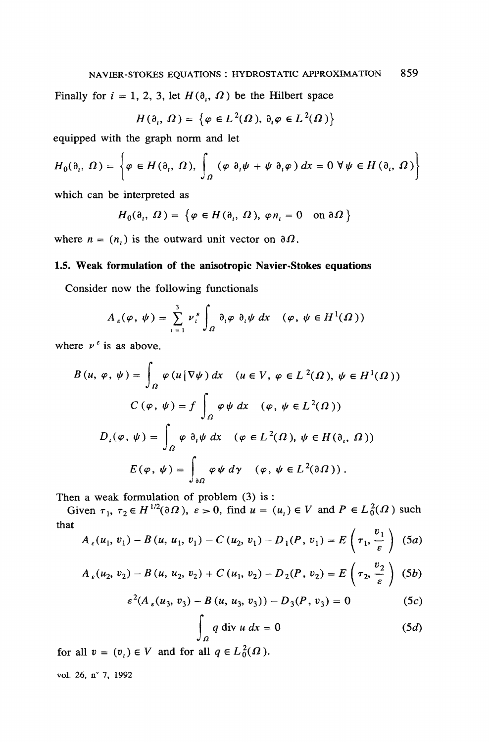Finally for  $i = 1, 2, 3$ , let  $H(\partial_1, \Omega)$  be the Hilbert space

$$
H(\mathfrak{d}_{i},\,\Omega)=\left\{\varphi\in L^{2}(\Omega),\,\mathfrak{d}_{i}\varphi\in L^{2}(\Omega)\right\}
$$

equipped with the graph norm and let

$$
H_0(\mathfrak{d}_i, \Omega) = \left\{ \varphi \in H(\mathfrak{d}_i, \Omega), \int_{\Omega} (\varphi \, \mathfrak{d}_i \psi + \psi \, \mathfrak{d}_i \varphi) \, dx = 0 \; \forall \psi \in H(\mathfrak{d}_i, \Omega) \right\}
$$

which can be interpreted as

$$
H_0(\mathfrak{d}_i, \Omega) = \{ \varphi \in H(\mathfrak{d}_i, \Omega), \varphi n_i = 0 \text{ on } \partial \Omega \}
$$

where  $n = (n_i)$  is the outward unit vector on  $\partial \Omega$ .

# 1.5. Weak formulation of the anisotropic Navier-Stokes equations

Consider now the following functionals

$$
A_{\varepsilon}(\varphi, \psi) = \sum_{i=1}^{3} \nu_{i}^{\varepsilon} \int_{\Omega} \partial_{i} \varphi \, \partial_{i} \psi \, dx \quad (\varphi, \psi \in H^{1}(\Omega))
$$

where  $\nu^{\epsilon}$  is as above.

$$
B(u, \varphi, \psi) = \int_{\Omega} \varphi(u|\nabla \psi) dx \quad (u \in V, \varphi \in L^{2}(\Omega), \psi \in H^{1}(\Omega))
$$

$$
C(\varphi, \psi) = f \int_{\Omega} \varphi \psi dx \quad (\varphi, \psi \in L^{2}(\Omega))
$$

$$
D_{i}(\varphi, \psi) = \int_{\Omega} \varphi \partial_{i} \psi dx \quad (\varphi \in L^{2}(\Omega), \psi \in H(\partial_{i}, \Omega))
$$

$$
E(\varphi, \psi) = \int_{\partial \Omega} \varphi \psi d\gamma \quad (\varphi, \psi \in L^{2}(\partial \Omega)).
$$

Then a weak formulation of problem  $(3)$  is:

Given  $\tau_1$ ,  $\tau_2 \in H^{1/2}(\partial \Omega)$ ,  $\varepsilon > 0$ , find  $u = (u_1) \in V$  and  $P \in L_0^2(\Omega)$  such that

$$
A_{\varepsilon}(u_1, v_1) - B(u, u_1, v_1) - C(u_2, v_1) - D_1(P, v_1) = E\left(\tau_1, \frac{v_1}{\varepsilon}\right) (5a)
$$

$$
A_{\varepsilon}(u_2, v_2) - B(u, u_2, v_2) + C(u_1, v_2) - D_2(P, v_2) = E\left(\tau_2, \frac{v_2}{\varepsilon}\right)
$$
 (5b)

$$
\varepsilon^2 (A_{\varepsilon}(u_3, v_3) - B(u, u_3, v_3)) - D_3(P, v_3) = 0 \tag{5c}
$$

$$
\int_{\Omega} q \operatorname{div} u \, dx = 0 \tag{5d}
$$

for all  $v = (v_i) \in V$  and for all  $q \in L_0^2(\Omega)$ .

vol. 26, n° 7, 1992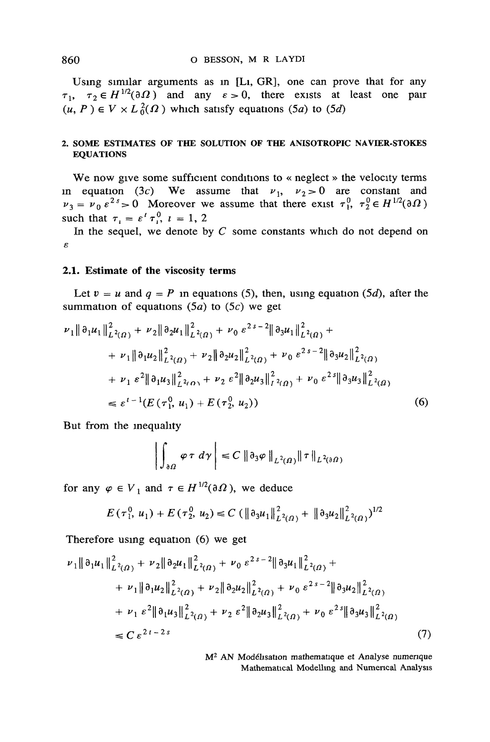Using similar arguments as in [Li, GR], one can prove that for any  $\tau_1$ ,  $\tau_2 \in H^{1/2}(\partial \Omega)$  and any  $\varepsilon > 0$ , there exists at least one pair  $(u, P) \in V \times L_0^2(\Omega)$  which satisfy equations (5*a*) to (5*d*)

# 2. SOME ESTIMATES OF THE SOLUTION OF THE ANISOTROPIC NAVIER-STOKES **EQUATIONS**

We now give some sufficient conditions to  $\alpha$  neglect  $\alpha$  the velocity terms in equation (3c) We assume that  $\nu_1$ ,  $\nu_2 > 0$  are constant and  $\nu_3 = \nu_0 e^{2s} > 0$  Moreover we assume that there exist  $\tau_1^0$ ,  $\tau_2^0 \in H^{1/2}(\partial \Omega)$ such that  $\tau_i = \varepsilon^i \tau_i^0$ ,  $i = 1, 2$ 

In the sequel, we denote by  $C$  some constants which do not depend on  $\epsilon$ 

### 2.1. Estimate of the viscosity terms

Let  $v = u$  and  $q = P$  in equations (5), then, using equation (5*d*), after the summation of equations  $(5a)$  to  $(5c)$  we get

$$
\nu_{1} \|\partial_{1} u_{1}\|_{L^{2}(\Omega)}^{2} + \nu_{2} \|\partial_{2} u_{1}\|_{L^{2}(\Omega)}^{2} + \nu_{0} \varepsilon^{2 s - 2} \|\partial_{3} u_{1}\|_{L^{2}(\Omega)}^{2} + \n+ \nu_{1} \|\partial_{1} u_{2}\|_{L^{2}(\Omega)}^{2} + \nu_{2} \|\partial_{2} u_{2}\|_{L^{2}(\Omega)}^{2} + \nu_{0} \varepsilon^{2 s - 2} \|\partial_{3} u_{2}\|_{L^{2}(\Omega)}^{2} \n+ \nu_{1} \varepsilon^{2} \|\partial_{1} u_{3}\|_{L^{2}(\Omega)}^{2} + \nu_{2} \varepsilon^{2} \|\partial_{2} u_{3}\|_{L^{2}(\Omega)}^{2} + \nu_{0} \varepsilon^{2 s} \|\partial_{3} u_{3}\|_{L^{2}(\Omega)}^{2} \n\leq \varepsilon^{t-1} (E(\tau_{1}^{0}, u_{1}) + E(\tau_{2}^{0}, u_{2})) \tag{6}
$$

But from the inequality

$$
\left|\int_{\partial\Omega}\varphi\,\tau\,d\gamma\right|\leq C\left\|\partial_3\varphi\right\|_{L^2(\Omega)}\|\tau\|_{L^2(\partial\Omega)}
$$

for any  $\varphi \in V_1$  and  $\tau \in H^{1/2}(\partial \Omega)$ , we deduce

$$
E(\tau_1^0, u_1) + E(\tau_2^0, u_2) \le C \left( \left\| \partial_3 u_1 \right\|_{L^2(\Omega)}^2 + \left\| \partial_3 u_2 \right\|_{L^2(\Omega)}^2 \right)^{1/2}
$$

Therefore using equation  $(6)$  we get

$$
\nu_{1} \|\partial_{1} u_{1}\|_{L^{2}(\Omega)}^{2} + \nu_{2} \|\partial_{2} u_{1}\|_{L^{2}(\Omega)}^{2} + \nu_{0} \varepsilon^{2 s - 2} \|\partial_{3} u_{1}\|_{L^{2}(\Omega)}^{2} + \n+ \nu_{1} \|\partial_{1} u_{2}\|_{L^{2}(\Omega)}^{2} + \nu_{2} \|\partial_{2} u_{2}\|_{L^{2}(\Omega)}^{2} + \nu_{0} \varepsilon^{2 s - 2} \|\partial_{3} u_{2}\|_{L^{2}(\Omega)}^{2} \n+ \nu_{1} \varepsilon^{2} \|\partial_{1} u_{3}\|_{L^{2}(\Omega)}^{2} + \nu_{2} \varepsilon^{2} \|\partial_{2} u_{3}\|_{L^{2}(\Omega)}^{2} + \nu_{0} \varepsilon^{2 s} \|\partial_{3} u_{3}\|_{L^{2}(\Omega)}^{2} \n\leq C \varepsilon^{2 t - 2 s}
$$
\n(7)

M<sup>2</sup> AN Modélisation mathematique et Analyse numerique Mathematical Modelling and Numerical Analysis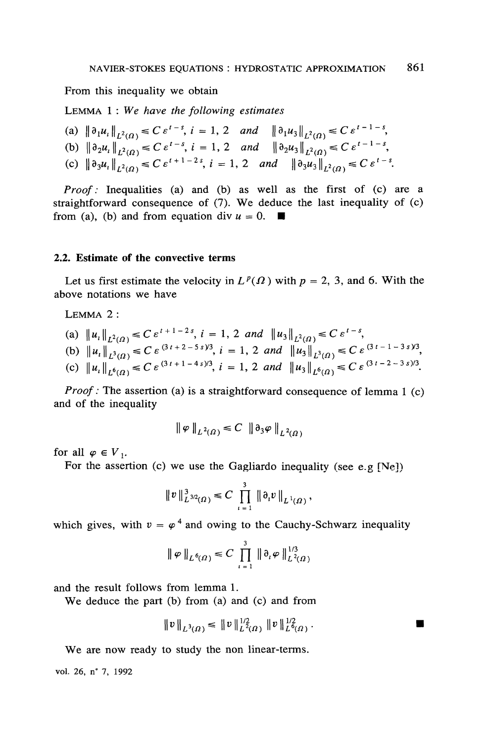From this inequality we obtain

LEMMA 1: We have the following estimates

- 
- 
- (a)  $\|\partial_1 u_i\|_{L^2(\Omega)} \le C \varepsilon^{t-s}, i = 1, 2$  and  $\|\partial_1 u_3\|_{L^2(\Omega)} \le C \varepsilon^{t-1-s}$ ,<br>
(b)  $\|\partial_2 u_i\|_{L^2(\Omega)} \le C \varepsilon^{t-s}, i = 1, 2$  and  $\|\partial_2 u_3\|_{L^2(\Omega)} \le C \varepsilon^{t-1-s}$ ,<br>
(c)  $\|\partial_3 u_i\|_{L^2(\Omega)} \le C \varepsilon^{t+1-2s}, i = 1, 2$  and  $\|\partial_3 u_3\|_{$

*Proof*: Inequalities (a) and (b) as well as the first of (c) are a straightforward consequence of  $(7)$ . We deduce the last inequality of  $(c)$ from (a), (b) and from equation div  $u = 0$ .

#### 2.2. Estimate of the convective terms

Let us first estimate the velocity in  $L^p(\Omega)$  with  $p = 2, 3$ , and 6. With the above notations we have

LEMMA<sub>2</sub>:

- (a)  $||u_i||_{L^2(\Omega)} \le C \varepsilon^{t+1-2s}, i = 1, 2 \text{ and } ||u_3||_{L^2(\Omega)} \le C \varepsilon^{t-s},$
- 
- (b)  $||u_i||_{L^3(\Omega)} \le C \varepsilon^{(3t+2-5s)/3}$ ,  $i = 1, 2$  and  $||u_3||_{L^3(\Omega)} \le C \varepsilon^{(3t-1-3s)/3}$ ,<br>
(c)  $||u_i||_{L^6(\Omega)} \le C \varepsilon^{(3t+1-4s)/3}$ ,  $i = 1, 2$  and  $||u_3||_{L^6(\Omega)} \le C \varepsilon^{(3t-2-3s)/3}$ .
- 

*Proof*: The assertion (a) is a straightforward consequence of lemma  $1$  (c) and of the inequality

$$
\|\varphi\|_{L^2(\Omega)} \leq C \|\partial_3 \varphi\|_{L^2(\Omega)}
$$

for all  $\varphi \in V_1$ .

For the assertion (c) we use the Gagliardo inequality (see e.g  $[N<sub>e</sub>]$ )

$$
||v||_{L^{3/2}(\Omega)}^3 \leq C \prod_{i=1}^3 ||\partial_i v||_{L^1(\Omega)},
$$

which gives, with  $v = \varphi^4$  and owing to the Cauchy-Schwarz inequality

$$
\|\varphi\|_{L^6(\Omega)} \leq C \prod_{i=1}^3 \|\vartheta_i \varphi\|_{L^2(\Omega)}^{1/3}
$$

and the result follows from lemma 1.

We deduce the part (b) from (a) and (c) and from

$$
\|v\|_{L^3(\Omega)} \leq \|v\|_{L^2(\Omega)}^{1/2} \|v\|_{L^6(\Omega)}^{1/2}.
$$

We are now ready to study the non linear-terms.

vol. 26, n° 7, 1992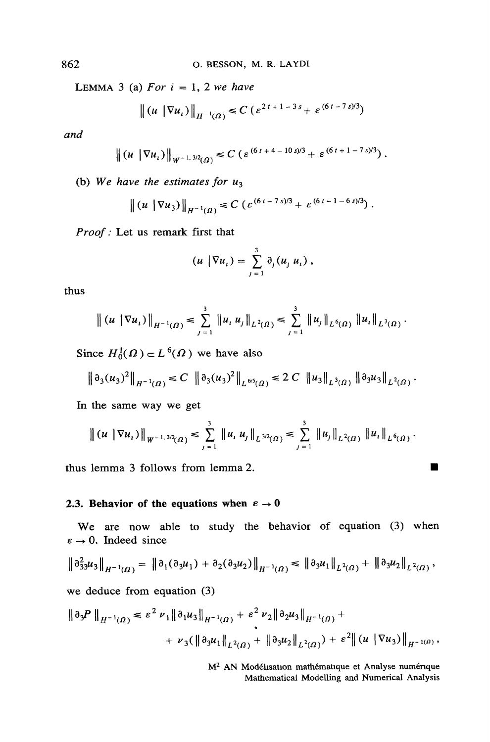LEMMA 3 (a) For  $i = 1, 2$  we have

$$
\left\| \left( u \, \left| \nabla u_i \right) \right\|_{H^{-1}(\Omega)} \leq C \left( \varepsilon^{2\, t + 1 - 3\, s} + \varepsilon^{(6\, t - 7\, s)/3} \right)
$$

and

$$
\left\| (u \left| \nabla u_i \right) \right\|_{W^{-1, 3/2}(\Omega)} \leq C \left( \varepsilon^{(6 \, t + 4 - 10 \, s)/3} + \varepsilon^{(6 \, t + 1 - 7 \, s)/3} \right).
$$

(b) We have the estimates for  $u_3$ 

$$
\|(u \,|\, \nabla u_3)\|_{H^{-1}(\Omega)} \leq C \left( \varepsilon^{(6\,t\,-\,7\,s)/3} + \varepsilon^{(6\,t\,-\,1\,-\,6\,s)/3} \right).
$$

Proof: Let us remark first that

$$
(u\,|\,\nabla u_i)=\sum_{j=1}^3\vartheta_j(u_j\,u_i)\,,
$$

thus

$$
\| (u \, |\nabla u_1) \|_{H^{-1}(\Omega)} \leq \sum_{j=1}^3 \| u_1 u_j \|_{L^2(\Omega)} \leq \sum_{j=1}^3 \| u_j \|_{L^6(\Omega)} \| u_1 \|_{L^3(\Omega)}.
$$

Since  $H_0^1(\Omega) \subset L^6(\Omega)$  we have also

$$
\left\|\,\partial_3(u_3)^2\right\|_{H^{-1}(\Omega)} \leq C \, \left\|\,\partial_3(u_3)^2\right\|_{L^{6/5}(\Omega)} \leq 2 \, C \, \left\|u_3\right\|_{L^3(\Omega)} \left\|\,\partial_3u_3\right\|_{L^2(\Omega)}.
$$

In the same way we get

$$
\| (u \, |\nabla u_1) \|_{W^{-1, 3/2}(\Omega)} \leq \sum_{j=1}^3 \| u_1 u_j \|_{L^{3/2}(\Omega)} \leq \sum_{j=1}^3 \| u_j \|_{L^2(\Omega)} \| u_1 \|_{L^6(\Omega)}.
$$

thus lemma 3 follows from lemma 2.

# 2.3. Behavior of the equations when  $\varepsilon \to 0$

We are now able to study the behavior of equation (3) when  $\varepsilon \to 0$ . Indeed since

$$
\left\|\partial_{33}^2 u_3\right\|_{H^{-1}(\Omega)} = \left\|\partial_1(\partial_3 u_1) + \partial_2(\partial_3 u_2)\right\|_{H^{-1}(\Omega)} \le \left\|\partial_3 u_1\right\|_{L^2(\Omega)} + \left\|\partial_3 u_2\right\|_{L^2(\Omega)},
$$

we deduce from equation  $(3)$ 

$$
\|\partial_3 P \|_{H^{-1}(\Omega)} \leq \varepsilon^2 \nu_1 \|\partial_1 u_3\|_{H^{-1}(\Omega)} + \varepsilon^2 \nu_2 \|\partial_2 u_3\|_{H^{-1}(\Omega)} + \varepsilon^2 \nu_3 (\|\partial_3 u_1\|_{L^2(\Omega)} + \|\partial_3 u_2\|_{L^2(\Omega)}) + \varepsilon^2 \|(u \, |\nabla u_3)\|_{H^{-1}(\Omega)},
$$

M<sup>2</sup> AN Modélisation mathématique et Analyse numérique Mathematical Modelling and Numerical Analysis

 $\blacksquare$ 

862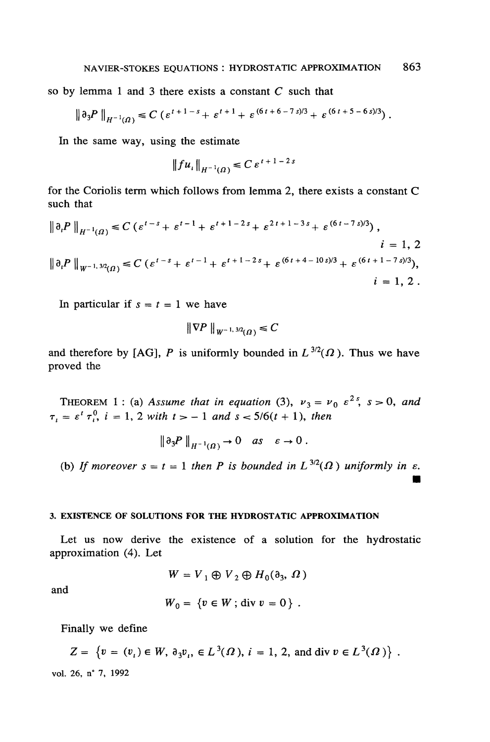so by lemma 1 and 3 there exists a constant  $C$  such that

$$
\|\partial_3 P\|_{H^{-1}(\Omega)} \leq C \left(\varepsilon^{t+1-s} + \varepsilon^{t+1} + \varepsilon^{(6t+6-7s)/3} + \varepsilon^{(6t+5-6s)/3}\right).
$$

In the same way, using the estimate

$$
\|fu_{\iota}\|_{H^{-1}(\Omega)} \leq C \, \varepsilon^{t+1-2s}
$$

for the Coriolis term which follows from lemma 2, there exists a constant C such that

$$
\| \partial_i P \|_{H^{-1}(\Omega)} \le C \left( \varepsilon^{t-s} + \varepsilon^{t-1} + \varepsilon^{t+1-2s} + \varepsilon^{2t+1-3s} + \varepsilon^{(6t-7s)/3} \right),
$$
  
\n $i = 1, 2$   
\n
$$
\| \partial_i P \|_{W^{-1,3/2}(\Omega)} \le C \left( \varepsilon^{t-s} + \varepsilon^{t-1} + \varepsilon^{t+1-2s} + \varepsilon^{(6t+4-10s)/3} + \varepsilon^{(6t+1-7s)/3} \right),
$$
  
\n $i = 1, 2$   
\n $i = 1, 2$ 

In particular if  $s = t = 1$  we have

$$
\|\nabla P\|_{W^{-1,3/2}(\Omega)} \leq C
$$

and therefore by [AG], P is uniformly bounded in  $L^{3/2}(\Omega)$ . Thus we have proved the

THEOREM 1: (a) Assume that in equation (3),  $v_3 = v_0 \varepsilon^{2s}$ ,  $s > 0$ , and  $\tau_i = \varepsilon^i \tau_i^0$ ,  $i = 1, 2$  with  $t > -1$  and  $s < 5/6(t + 1)$ , then

$$
\|\partial_3 P\|_{H^{-1}(\Omega)} \to 0 \quad as \quad \varepsilon \to 0.
$$

(b) If moreover  $s = t = 1$  then P is bounded in  $L^{3/2}(\Omega)$  uniformly in  $\varepsilon$ .

### 3. EXISTENCE OF SOLUTIONS FOR THE HYDROSTATIC APPROXIMATION

Let us now derive the existence of a solution for the hydrostatic approximation (4). Let

$$
W = V_1 \oplus V_2 \oplus H_0(\mathfrak{d}_3, \Omega)
$$

and

$$
W_0 = \{v \in W \text{ ; div } v = 0\} .
$$

Finally we define

$$
Z = \{v = (v_i) \in W, \, \partial_3 v_i, \, \in L^3(\Omega), \, i = 1, 2, \text{ and } \text{div } v \in L^3(\Omega) \}.
$$

vol. 26, n° 7, 1992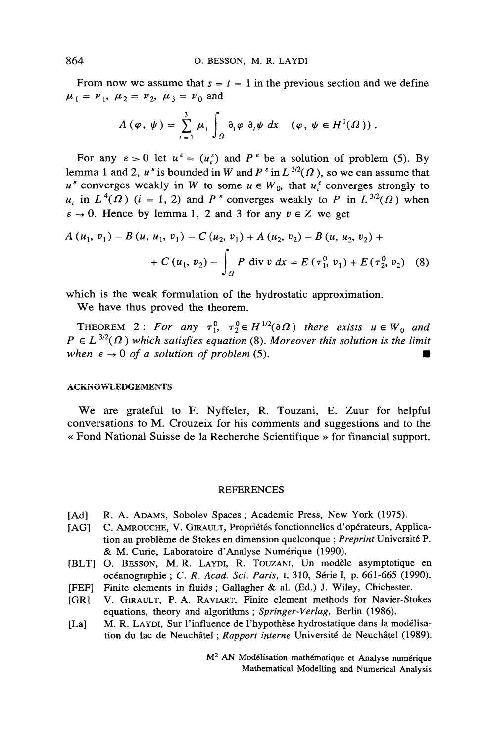From now we assume that  $s = t = 1$  in the previous section and we define  $\mu_1 = \nu_1$ ,  $\mu_2 = \nu_2$ ,  $\mu_3 = \nu_0$  and

$$
A(\varphi, \psi) = \sum_{i=1}^{3} \mu_{i} \int_{\Omega} \partial_{i} \varphi \partial_{i} \psi dx \quad (\varphi, \psi \in H^{1}(\Omega)).
$$

For any  $\varepsilon > 0$  let  $u^{\varepsilon} = (u^{\varepsilon})$  and  $P^{\varepsilon}$  be a solution of problem (5). By lemma 1 and 2,  $u^{\epsilon}$  is bounded in W and P  $^{\epsilon}$  in  $L^{3/2}(\Omega)$ , so we can assume that  $u^{\epsilon}$  converges weakly in W to some  $u \in W_0$ , that  $u^{\epsilon}$  converges strongly to u, in  $L^4(\Omega)$  (i = 1, 2) and P<sup>e</sup> converges weakly to P in  $L^{3/2}(\Omega)$  when  $\varepsilon \to 0$ . Hence by lemma 1, 2 and 3 for any  $v \in Z$  we get

$$
A (u1, v1) - B (u, u1, v1) - C (u2, v1) + A (u2, v2) - B (u, u2, v2) ++ C (u1, v2) - \int_{\Omega} P \text{ div } v dx = E (\tau10, v1) + E (\tau20, v2) \quad (8)
$$

which is the weak formulation of the hydrostatic approximation.

We have thus proved the theorem.

THEOREM 2: For any  $\tau_1^0$ ,  $\tau_2^0 \in H^{1/2}(\partial \Omega)$  there exists  $u \in W_0$  and  $P \in L^{3/2}(\Omega)$  which satisfies equation (8). Moreover this solution is the limit when  $\varepsilon \to 0$  of a solution of problem (5).

#### **ACKNOWLEDGEMENTS**

We are grateful to F. Nyffeler, R. Touzani, E. Zuur for helpful conversations to M. Crouzeix for his comments and suggestions and to the « Fond National Suisse de la Recherche Scientifique » for financial support.

#### **REFERENCES**

- R. A. ADAMS, Sobolev Spaces; Academic Press, New York (1975).  $[Ad]$
- C. AMROUCHE, V. GIRAULT, Propriétés fonctionnelles d'opérateurs, Applica- $[AG]$ tion au problème de Stokes en dimension quelconque ; Preprint Université P. & M. Curie, Laboratoire d'Analyse Numérique (1990).
- [BLT] O. BESSON, M.R. LAYDI, R. TOUZANI, Un modèle asymptotique en océanographie ; C. R. Acad. Sci. Paris, t. 310, Série I, p. 661-665 (1990).
- **IFEF1** Finite elements in fluids : Gallagher & al. (Ed.) J. Wiley, Chichester.
- V. GIRAULT, P. A. RAVIART, Finite element methods for Navier-Stokes  $[GR]$ equations, theory and algorithms; Springer-Verlag, Berlin (1986).
- M. R. LAYDI, Sur l'influence de l'hypothèse hydrostatique dans la modélisa- $[La]$ tion du lac de Neuchâtel ; Rapport interne Université de Neuchâtel (1989).

M<sup>2</sup> AN Modélisation mathématique et Analyse numérique Mathematical Modelling and Numerical Analysis